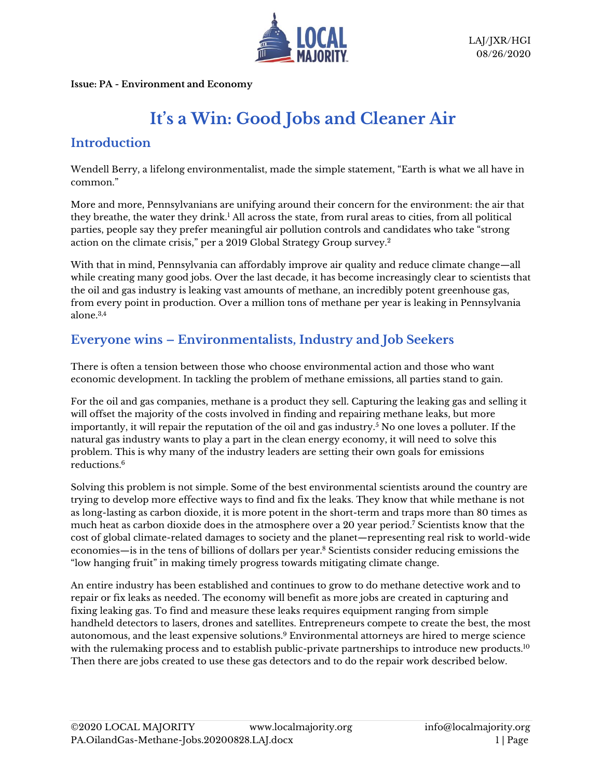

**Issue: PA - Environment and Economy**

# **It's a Win: Good Jobs and Cleaner Air**

## **Introduction**

Wendell Berry, a lifelong environmentalist, made the simple statement, "Earth is what we all have in common."

More and more, Pennsylvanians are unifying around their concern for the environment: the air that they breathe, the water they drink.<sup>1</sup> All across the state, from rural areas to cities, from all political parties, people say they prefer meaningful air pollution controls and candidates who take "strong action on the climate crisis," per a 2019 Global Strategy Group survey.<sup>2</sup>

With that in mind, Pennsylvania can affordably improve air quality and reduce climate change—all while creating many good jobs. Over the last decade, it has become increasingly clear to scientists that the oil and gas industry is leaking vast amounts of methane, an incredibly potent greenhouse gas, from every point in production. Over a million tons of methane per year is leaking in Pennsylvania alone.3,4

## **Everyone wins – Environmentalists, Industry and Job Seekers**

There is often a tension between those who choose environmental action and those who want economic development. In tackling the problem of methane emissions, all parties stand to gain.

For the oil and gas companies, methane is a product they sell. Capturing the leaking gas and selling it will offset the majority of the costs involved in finding and repairing methane leaks, but more importantly, it will repair the reputation of the oil and gas industry.<sup>5</sup> No one loves a polluter. If the natural gas industry wants to play a part in the clean energy economy, it will need to solve this problem. This is why many of the industry leaders are setting their own goals for emissions reductions. 6

Solving this problem is not simple. Some of the best environmental scientists around the country are trying to develop more effective ways to find and fix the leaks. They know that while methane is not as long-lasting as carbon dioxide, it is more potent in the short-term and traps more than 80 times as much heat as carbon dioxide does in the atmosphere over a 20 year period.<sup>7</sup> Scientists know that the cost of global climate-related damages to society and the planet—representing real risk to world-wide economies—is in the tens of billions of dollars per year. <sup>8</sup> Scientists consider reducing emissions the "low hanging fruit" in making timely progress towards mitigating climate change.

An entire industry has been established and continues to grow to do methane detective work and to repair or fix leaks as needed. The economy will benefit as more jobs are created in capturing and fixing leaking gas. To find and measure these leaks requires equipment ranging from simple handheld detectors to lasers, drones and satellites. Entrepreneurs compete to create the best, the most autonomous, and the least expensive solutions.<sup>9</sup> Environmental attorneys are hired to merge science with the rulemaking process and to establish public-private partnerships to introduce new products.<sup>10</sup> Then there are jobs created to use these gas detectors and to do the repair work described below.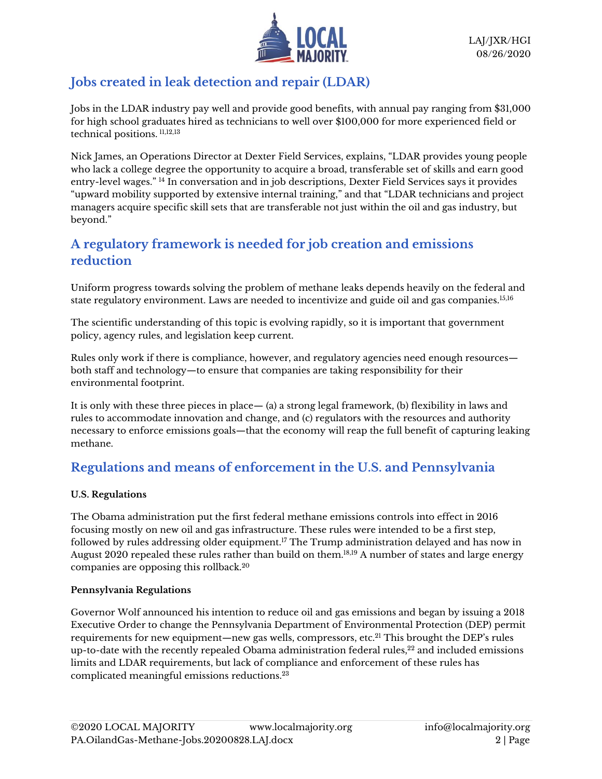

# **Jobs created in leak detection and repair (LDAR)**

Jobs in the LDAR industry pay well and provide good benefits, with annual pay ranging from \$31,000 for high school graduates hired as technicians to well over \$100,000 for more experienced field or technical positions. 11,12,13

Nick James, an Operations Director at Dexter Field Services, explains, "LDAR provides young people who lack a college degree the opportunity to acquire a broad, transferable set of skills and earn good entry-level wages." <sup>14</sup> In conversation and in job descriptions, Dexter Field Services says it provides "upward mobility supported by extensive internal training," and that "LDAR technicians and project managers acquire specific skill sets that are transferable not just within the oil and gas industry, but beyond."

## **A regulatory framework is needed for job creation and emissions reduction**

Uniform progress towards solving the problem of methane leaks depends heavily on the federal and state regulatory environment. Laws are needed to incentivize and guide oil and gas companies.15,16

The scientific understanding of this topic is evolving rapidly, so it is important that government policy, agency rules, and legislation keep current.

Rules only work if there is compliance, however, and regulatory agencies need enough resources both staff and technology—to ensure that companies are taking responsibility for their environmental footprint.

It is only with these three pieces in place— (a) a strong legal framework, (b) flexibility in laws and rules to accommodate innovation and change, and (c) regulators with the resources and authority necessary to enforce emissions goals—that the economy will reap the full benefit of capturing leaking methane.

# **Regulations and means of enforcement in the U.S. and Pennsylvania**

#### **U.S. Regulations**

The Obama administration put the first federal methane emissions controls into effect in 2016 focusing mostly on new oil and gas infrastructure. These rules were intended to be a first step, followed by rules addressing older equipment.<sup>17</sup> The Trump administration delayed and has now in August 2020 repealed these rules rather than build on them.18,19 A number of states and large energy companies are opposing this rollback.<sup>20</sup>

#### **Pennsylvania Regulations**

Governor Wolf announced his intention to reduce oil and gas emissions and began by issuing a 2018 Executive Order to change the Pennsylvania Department of Environmental Protection (DEP) permit requirements for new equipment—new gas wells, compressors, etc. <sup>21</sup> This brought the DEP's rules up-to-date with the recently repealed Obama administration federal rules, $^{22}$  and included emissions limits and LDAR requirements, but lack of compliance and enforcement of these rules has complicated meaningful emissions reductions. 23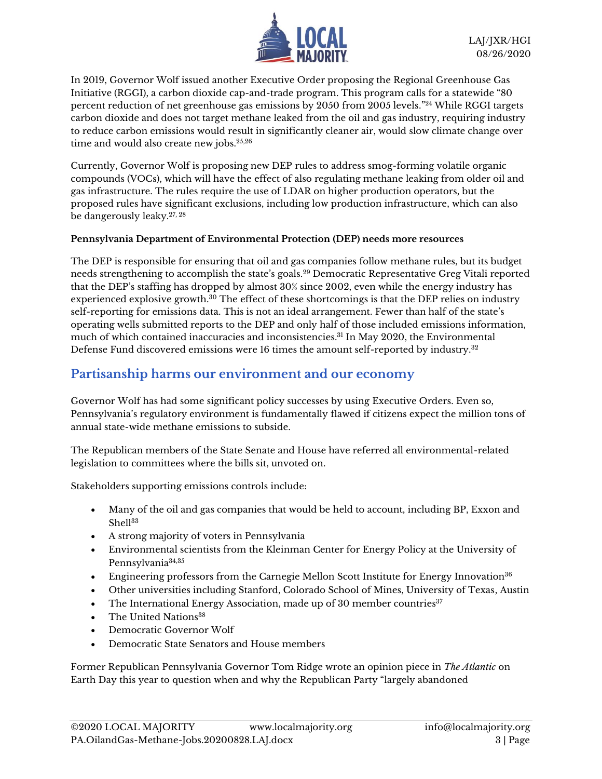

In 2019, Governor Wolf issued another Executive Order proposing the Regional Greenhouse Gas Initiative (RGGI), a carbon dioxide cap-and-trade program. This program calls for a statewide "80 percent reduction of net greenhouse gas emissions by 2050 from 2005 levels." <sup>24</sup> While RGGI targets carbon dioxide and does not target methane leaked from the oil and gas industry, requiring industry to reduce carbon emissions would result in significantly cleaner air, would slow climate change over time and would also create new jobs.<sup>25,26</sup>

Currently, Governor Wolf is proposing new DEP rules to address smog-forming volatile organic compounds (VOCs), which will have the effect of also regulating methane leaking from older oil and gas infrastructure. The rules require the use of LDAR on higher production operators, but the proposed rules have significant exclusions, including low production infrastructure, which can also be dangerously leaky.27, <sup>28</sup>

#### **Pennsylvania Department of Environmental Protection (DEP) needs more resources**

The DEP is responsible for ensuring that oil and gas companies follow methane rules, but its budget needs strengthening to accomplish the state's goals. <sup>29</sup> Democratic Representative Greg Vitali reported that the DEP's staffing has dropped by almost 30% since 2002, even while the energy industry has experienced explosive growth. <sup>30</sup> The effect of these shortcomings is that the DEP relies on industry self-reporting for emissions data. This is not an ideal arrangement. Fewer than half of the state's operating wells submitted reports to the DEP and only half of those included emissions information, much of which contained inaccuracies and inconsistencies.<sup>31</sup> In May 2020, the Environmental Defense Fund discovered emissions were 16 times the amount self-reported by industry.<sup>32</sup>

### **Partisanship harms our environment and our economy**

Governor Wolf has had some significant policy successes by using Executive Orders. Even so, Pennsylvania's regulatory environment is fundamentally flawed if citizens expect the million tons of annual state-wide methane emissions to subside.

The Republican members of the State Senate and House have referred all environmental-related legislation to committees where the bills sit, unvoted on.

Stakeholders supporting emissions controls include:

- Many of the oil and gas companies that would be held to account, including BP, Exxon and Shell<sup>33</sup>
- A strong majority of voters in Pennsylvania
- Environmental scientists from the Kleinman Center for Energy Policy at the University of Pennsylvania<sup>34,35</sup>
- Engineering professors from the Carnegie Mellon Scott Institute for Energy Innovation<sup>36</sup>
- Other universities including Stanford, Colorado School of Mines, University of Texas, Austin
- The International Energy Association, made up of 30 member countries $37$
- The United Nations<sup>38</sup>
- Democratic Governor Wolf
- Democratic State Senators and House members

Former Republican Pennsylvania Governor Tom Ridge wrote an opinion piece in *The Atlantic* on Earth Day this year to question when and why the Republican Party "largely abandoned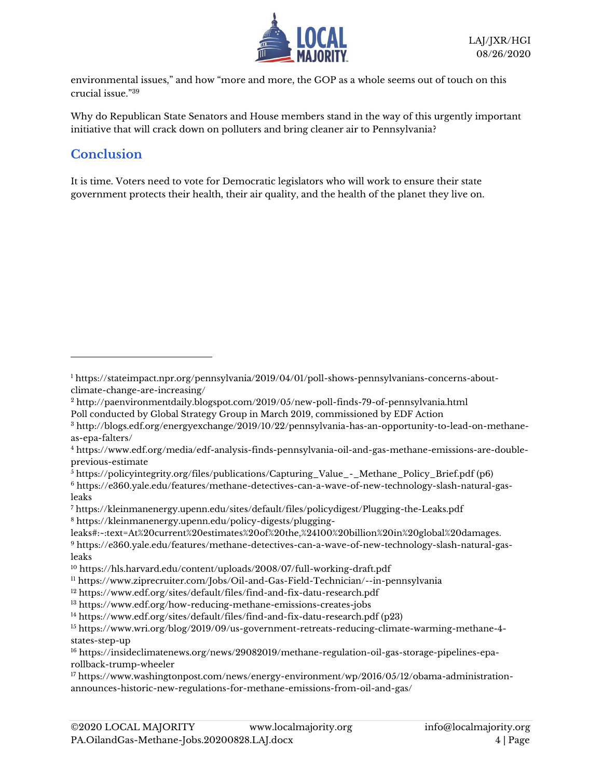

environmental issues," and how "more and more, the GOP as a whole seems out of touch on this crucial issue."<sup>39</sup>

Why do Republican State Senators and House members stand in the way of this urgently important initiative that will crack down on polluters and bring cleaner air to Pennsylvania?

# **Conclusion**

It is time. Voters need to vote for Democratic legislators who will work to ensure their state government protects their health, their air quality, and the health of the planet they live on.

- $\frac{1}{6}$  [https://policyintegrity.org/files/publications/Capturing\\_Value\\_-\\_Methane\\_Policy\\_Brief.pdf](about:blank) (p6)
- <sup>6</sup> [https://e360.yale.edu/features/methane-detectives-can-a-wave-of-new-technology-slash-natural-gas](about:blank)[leaks](about:blank)

<sup>7</sup> [https://kleinmanenergy.upenn.edu/sites/default/files/policydigest/Plugging-the-Leaks.pdf](about:blank) <sup>8</sup> [https://kleinmanenergy.upenn.edu/policy-digests/plugging-](about:blank#:~:text=At%20current%20estimates%20of%20the,%24100%20billion%20in%20global%20damages.)

[leaks#:~:text=At%20current%20estimates%20of%20the,%24100%20billion%20in%20global%20damages.](about:blank#:~:text=At%20current%20estimates%20of%20the,%24100%20billion%20in%20global%20damages.)

<sup>9</sup> [https://e360.yale.edu/features/methane-detectives-can-a-wave-of-new-technology-slash-natural-gas](about:blank)[leaks](about:blank)

<sup>12</sup> [https://www.edf.org/sites/default/files/find-and-fix-datu-research.pdf](about:blank)

- <sup>13</sup> [https://www.edf.org/how-reducing-methane-emissions-creates-jobs](about:blank)
- <sup>14</sup> [https://www.edf.org/sites/default/files/find-and-fix-datu-research.pdf](about:blank) (p23)

<sup>1</sup> [https://stateimpact.npr.org/pennsylvania/2019/04/01/poll-shows-pennsylvanians-concerns-about](about:blank)[climate-change-are-increasing/](about:blank)

<sup>2</sup> [http://paenvironmentdaily.blogspot.com/2019/05/new-poll-finds-79-of-pennsylvania.html](about:blank) Poll conducted by Global Strategy Group in March 2019, commissioned by EDF Action

<sup>3</sup> [http://blogs.edf.org/energyexchange/2019/10/22/pennsylvania-has-an-opportunity-to-lead-on-methane](about:blank)[as-epa-falters/](about:blank)

<sup>4</sup> [https://www.edf.org/media/edf-analysis-finds-pennsylvania-oil-and-gas-methane-emissions-are-double](about:blank)[previous-estimate](about:blank)

<sup>10</sup> [https://hls.harvard.edu/content/uploads/2008/07/full-working-draft.pdf](about:blank)

<sup>11</sup> [https://www.ziprecruiter.com/Jobs/Oil-and-Gas-Field-Technician/--in-pennsylvania](about:blank)

<sup>15</sup> [https://www.wri.org/blog/2019/09/us-government-retreats-reducing-climate-warming-methane-4](about:blank) [states-step-up](about:blank)

<sup>16</sup> [https://insideclimatenews.org/news/29082019/methane-regulation-oil-gas-storage-pipelines-epa](about:blank)[rollback-trump-wheeler](about:blank)

<sup>17</sup> [https://www.washingtonpost.com/news/energy-environment/wp/2016/05/12/obama-administration](about:blank)[announces-historic-new-regulations-for-methane-emissions-from-oil-and-gas/](about:blank)